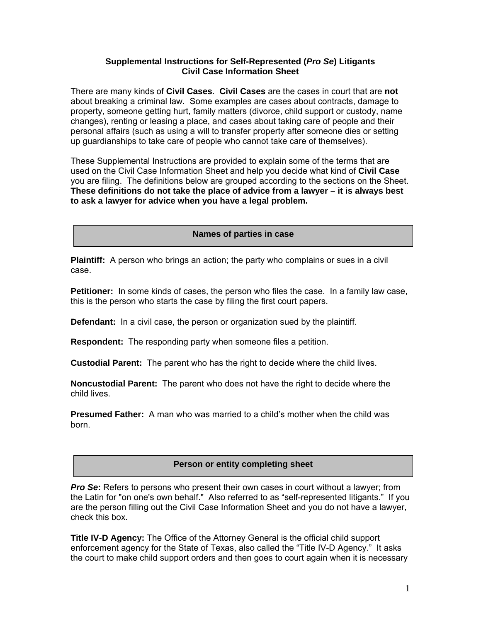## **Supplemental Instructions for Self-Represented (***Pro Se***) Litigants Civil Case Information Sheet**

There are many kinds of **Civil Cases**. **Civil Cases** are the cases in court that are **not** about breaking a criminal law. Some examples are cases about contracts, damage to property, someone getting hurt, family matters (divorce, child support or custody, name changes), renting or leasing a place, and cases about taking care of people and their personal affairs (such as using a will to transfer property after someone dies or setting up guardianships to take care of people who cannot take care of themselves).

These Supplemental Instructions are provided to explain some of the terms that are used on the Civil Case Information Sheet and help you decide what kind of **Civil Case** you are filing. The definitions below are grouped according to the sections on the Sheet. **These definitions do not take the place of advice from a lawyer – it is always best to ask a lawyer for advice when you have a legal problem.** 

**Names of parties in case** 

**Plaintiff:** A person who brings an action; the party who complains or sues in a civil case.

**Petitioner:** In some kinds of cases, the person who files the case. In a family law case, this is the person who starts the case by filing the first court papers.

**Defendant:** In a civil case, the person or organization sued by the plaintiff.

**Respondent:** The responding party when someone files a petition.

**Custodial Parent:** The parent who has the right to decide where the child lives.

**Noncustodial Parent:** The parent who does not have the right to decide where the child lives.

**Presumed Father:** A man who was married to a child's mother when the child was born.

## **Person or entity completing sheet**

*Pro Se***:** Refers to persons who present their own cases in court without a lawyer; from the Latin for "on one's own behalf." Also referred to as "self-represented litigants." If you are the person filling out the Civil Case Information Sheet and you do not have a lawyer, check this box.

**Title IV-D Agency:** The Office of the Attorney General is the official child support enforcement agency for the State of Texas, also called the "Title IV-D Agency." It asks the court to make child support orders and then goes to court again when it is necessary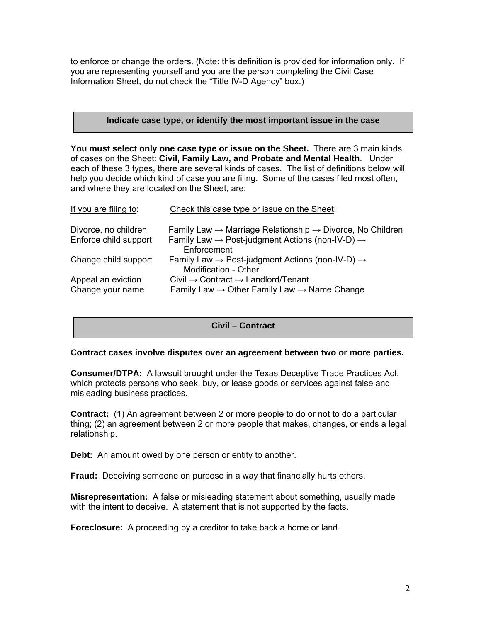to enforce or change the orders. (Note: this definition is provided for information only. If you are representing yourself and you are the person completing the Civil Case Information Sheet, do not check the "Title IV-D Agency" box.)

#### **Indicate case type, or identify the most important issue in the case**

**You must select only one case type or issue on the Sheet.** There are 3 main kinds of cases on the Sheet: **Civil, Family Law, and Probate and Mental Health**. Under each of these 3 types, there are several kinds of cases. The list of definitions below will help you decide which kind of case you are filing. Some of the cases filed most often, and where they are located on the Sheet, are:

| If you are filing to:                  | Check this case type or issue on the Sheet:                                                                                       |
|----------------------------------------|-----------------------------------------------------------------------------------------------------------------------------------|
| Divorce, no children                   | Family Law $\rightarrow$ Marriage Relationship $\rightarrow$ Divorce, No Children                                                 |
| Enforce child support                  | Family Law $\rightarrow$ Post-judgment Actions (non-IV-D) $\rightarrow$<br>Enforcement                                            |
| Change child support                   | Family Law $\rightarrow$ Post-judgment Actions (non-IV-D) $\rightarrow$<br><b>Modification - Other</b>                            |
| Appeal an eviction<br>Change your name | Civil $\rightarrow$ Contract $\rightarrow$ Landlord/Tenant<br>Family Law $\rightarrow$ Other Family Law $\rightarrow$ Name Change |

# **Civil – Contract**

## **Contract cases involve disputes over an agreement between two or more parties.**

**Consumer/DTPA:** A lawsuit brought under the Texas Deceptive Trade Practices Act, which protects persons who seek, buy, or lease goods or services against false and misleading business practices.

**Contract:** (1) An agreement between 2 or more people to do or not to do a particular thing; (2) an agreement between 2 or more people that makes, changes, or ends a legal relationship.

**Debt:** An amount owed by one person or entity to another.

**Fraud:** Deceiving someone on purpose in a way that financially hurts others.

**Misrepresentation:** A false or misleading statement about something, usually made with the intent to deceive. A statement that is not supported by the facts.

**Foreclosure:** A proceeding by a creditor to take back a home or land.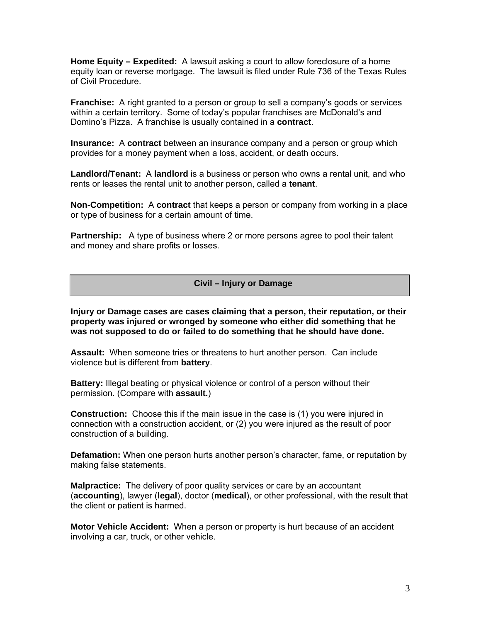**Home Equity – Expedited:** A lawsuit asking a court to allow foreclosure of a home equity loan or reverse mortgage. The lawsuit is filed under Rule 736 of the Texas Rules of Civil Procedure.

**Franchise:** A right granted to a person or group to sell a company's goods or services within a certain territory. Some of today's popular franchises are McDonald's and Domino's Pizza. A franchise is usually contained in a **contract**.

**Insurance:** A **contract** between an insurance company and a person or group which provides for a money payment when a loss, accident, or death occurs.

**Landlord/Tenant:** A **landlord** is a business or person who owns a rental unit, and who rents or leases the rental unit to another person, called a **tenant**.

**Non-Competition:** A **contract** that keeps a person or company from working in a place or type of business for a certain amount of time.

**Partnership:** A type of business where 2 or more persons agree to pool their talent and money and share profits or losses.

#### **Civil – Injury or Damage**

**Injury or Damage cases are cases claiming that a person, their reputation, or their property was injured or wronged by someone who either did something that he was not supposed to do or failed to do something that he should have done.** 

**Assault:** When someone tries or threatens to hurt another person. Can include violence but is different from **battery**.

**Battery:** Illegal beating or physical violence or control of a person without their permission. (Compare with **assault.**)

**Construction:** Choose this if the main issue in the case is (1) you were injured in connection with a construction accident, or (2) you were injured as the result of poor construction of a building.

**Defamation:** When one person hurts another person's character, fame, or reputation by making false statements.

**Malpractice:** The delivery of poor quality services or care by an accountant (**accounting**), lawyer (**legal**), doctor (**medical**), or other professional, with the result that the client or patient is harmed.

**Motor Vehicle Accident:** When a person or property is hurt because of an accident involving a car, truck, or other vehicle.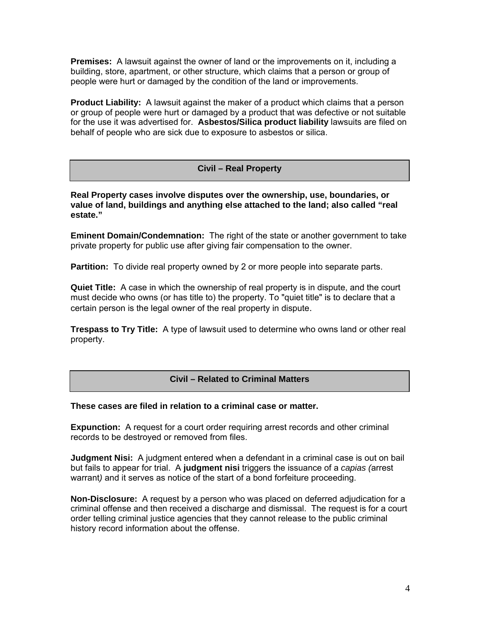**Premises:** A lawsuit against the owner of land or the improvements on it, including a building, store, apartment, or other structure, which claims that a person or group of people were hurt or damaged by the condition of the land or improvements.

**Product Liability:** A lawsuit against the maker of a product which claims that a person or group of people were hurt or damaged by a product that was defective or not suitable for the use it was advertised for. **Asbestos/Silica product liability** lawsuits are filed on behalf of people who are sick due to exposure to asbestos or silica.

# **Civil – Real Property**

**Real Property cases involve disputes over the ownership, use, boundaries, or value of land, buildings and anything else attached to the land; also called "real estate."** 

**Eminent Domain/Condemnation:** The right of the state or another government to take private property for public use after giving fair compensation to the owner.

**Partition:** To divide real property owned by 2 or more people into separate parts.

**Quiet Title:** A case in which the ownership of real property is in dispute, and the court must decide who owns (or has title to) the property. To "quiet title" is to declare that a certain person is the legal owner of the real property in dispute.

**Trespass to Try Title:** A type of lawsuit used to determine who owns land or other real property.

## **Civil – Related to Criminal Matters**

## **These cases are filed in relation to a criminal case or matter.**

**Expunction:** A request for a court order requiring arrest records and other criminal records to be destroyed or removed from files.

**Judgment Nisi:** A judgment entered when a defendant in a criminal case is out on bail but fails to appear for trial. A **judgment nisi** triggers the issuance of a *capias (*arrest warrant*)* and it serves as notice of the start of a bond forfeiture proceeding.

**Non-Disclosure:** A request by a person who was placed on deferred adjudication for a criminal offense and then received a discharge and dismissal. The request is for a court order telling criminal justice agencies that they cannot release to the public criminal history record information about the offense.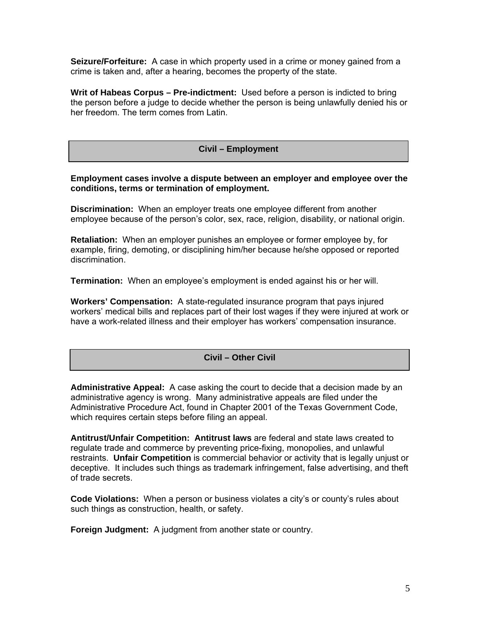**Seizure/Forfeiture:** A case in which property used in a crime or money gained from a crime is taken and, after a hearing, becomes the property of the state.

**Writ of Habeas Corpus – Pre-indictment:** Used before a person is indicted to bring the person before a judge to decide whether the person is being unlawfully denied his or her freedom. The term comes from Latin.

#### **Civil – Employment**

**Employment cases involve a dispute between an employer and employee over the conditions, terms or termination of employment.** 

**Discrimination:** When an employer treats one employee different from another employee because of the person's color, sex, race, religion, disability, or national origin.

**Retaliation:** When an employer punishes an employee or former employee by, for example, firing, demoting, or disciplining him/her because he/she opposed or reported discrimination.

**Termination:** When an employee's employment is ended against his or her will.

**Workers' Compensation:** A state-regulated insurance program that pays injured workers' medical bills and replaces part of their lost wages if they were injured at work or have a work-related illness and their employer has workers' compensation insurance.

#### **Civil – Other Civil**

**Administrative Appeal:** A case asking the court to decide that a decision made by an administrative agency is wrong. Many administrative appeals are filed under the Administrative Procedure Act, found in Chapter 2001 of the Texas Government Code, which requires certain steps before filing an appeal.

**Antitrust/Unfair Competition: Antitrust laws** are federal and state laws created to regulate trade and commerce by preventing price-fixing, monopolies, and unlawful restraints. **Unfair Competition** is commercial behavior or activity that is legally unjust or deceptive. It includes such things as trademark infringement, false advertising, and theft of trade secrets.

**Code Violations:** When a person or business violates a city's or county's rules about such things as construction, health, or safety.

**Foreign Judgment:** A judgment from another state or country.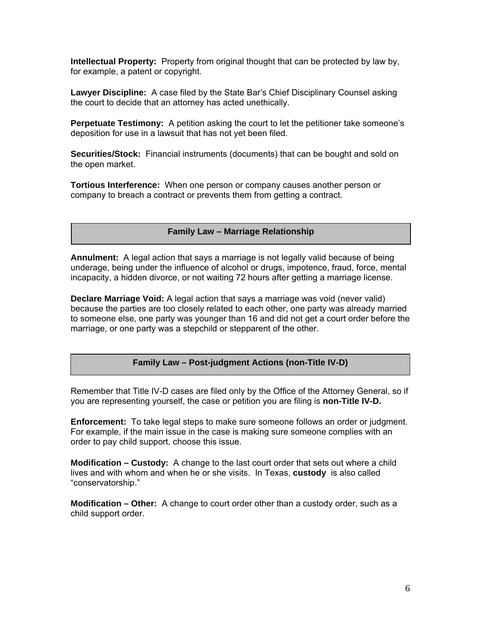**Intellectual Property:** Property from original thought that can be protected by law by, for example, a patent or copyright.

**Lawyer Discipline:** A case filed by the State Bar's Chief Disciplinary Counsel asking the court to decide that an attorney has acted unethically.

**Perpetuate Testimony:** A petition asking the court to let the petitioner take someone's deposition for use in a lawsuit that has not yet been filed.

**Securities/Stock:** Financial instruments (documents) that can be bought and sold on the open market.

**Tortious Interference:** When one person or company causes another person or company to breach a contract or prevents them from getting a contract.

**Family Law – Marriage Relationship** 

**Annulment:** A legal action that says a marriage is not legally valid because of being underage, being under the influence of alcohol or drugs, impotence, fraud, force, mental incapacity, a hidden divorce, or not waiting 72 hours after getting a marriage license.

**Declare Marriage Void:** A legal action that says a marriage was void (never valid) because the parties are too closely related to each other, one party was already married to someone else, one party was younger than 16 and did not get a court order before the marriage, or one party was a stepchild or stepparent of the other.

**Family Law – Post-judgment Actions (non-Title IV-D)** 

Remember that Title IV-D cases are filed only by the Office of the Attorney General, so if you are representing yourself, the case or petition you are filing is **non-Title IV-D.** 

**Enforcement:** To take legal steps to make sure someone follows an order or judgment. For example, if the main issue in the case is making sure someone complies with an order to pay child support, choose this issue.

**Modification – Custody:** A change to the last court order that sets out where a child lives and with whom and when he or she visits. In Texas, **custody** is also called "conservatorship."

**Modification – Other:** A change to court order other than a custody order, such as a child support order.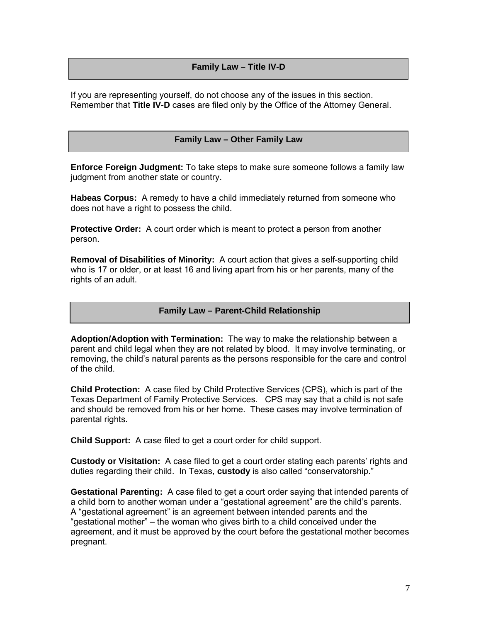# **Family Law – Title IV-D**

If you are representing yourself, do not choose any of the issues in this section. Remember that **Title IV-D** cases are filed only by the Office of the Attorney General.

## **Family Law – Other Family Law**

**Enforce Foreign Judgment:** To take steps to make sure someone follows a family law judgment from another state or country.

**Habeas Corpus:** A remedy to have a child immediately returned from someone who does not have a right to possess the child.

**Protective Order:** A court order which is meant to protect a person from another person.

**Removal of Disabilities of Minority:** A court action that gives a self-supporting child who is 17 or older, or at least 16 and living apart from his or her parents, many of the rights of an adult.

#### **Family Law – Parent-Child Relationship**

**Adoption/Adoption with Termination:** The way to make the relationship between a parent and child legal when they are not related by blood. It may involve terminating, or removing, the child's natural parents as the persons responsible for the care and control of the child.

**Child Protection:** A case filed by Child Protective Services (CPS), which is part of the Texas Department of Family Protective Services. CPS may say that a child is not safe and should be removed from his or her home. These cases may involve termination of parental rights.

**Child Support:** A case filed to get a court order for child support.

**Custody or Visitation:** A case filed to get a court order stating each parents' rights and duties regarding their child. In Texas, **custody** is also called "conservatorship."

**Gestational Parenting:** A case filed to get a court order saying that intended parents of a child born to another woman under a "gestational agreement" are the child's parents. A "gestational agreement" is an agreement between intended parents and the "gestational mother" – the woman who gives birth to a child conceived under the agreement, and it must be approved by the court before the gestational mother becomes pregnant.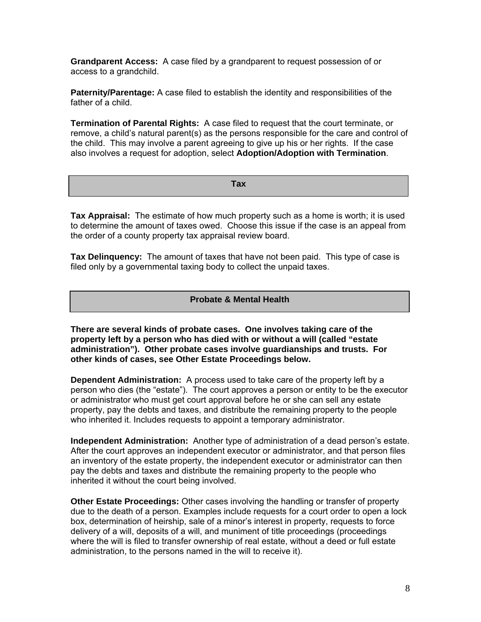**Grandparent Access:** A case filed by a grandparent to request possession of or access to a grandchild.

**Paternity/Parentage:** A case filed to establish the identity and responsibilities of the father of a child.

**Termination of Parental Rights:** A case filed to request that the court terminate, or remove, a child's natural parent(s) as the persons responsible for the care and control of the child. This may involve a parent agreeing to give up his or her rights. If the case also involves a request for adoption, select **Adoption/Adoption with Termination**.

| <b>CONTRACTOR</b> |
|-------------------|
| $-$ un $-$        |
|                   |

**Tax Appraisal:** The estimate of how much property such as a home is worth; it is used to determine the amount of taxes owed. Choose this issue if the case is an appeal from the order of a county property tax appraisal review board.

**Tax Delinquency:** The amount of taxes that have not been paid. This type of case is filed only by a governmental taxing body to collect the unpaid taxes.

#### **Probate & Mental Health**

**There are several kinds of probate cases. One involves taking care of the property left by a person who has died with or without a will (called "estate administration"). Other probate cases involve guardianships and trusts. For other kinds of cases, see Other Estate Proceedings below.** 

**Dependent Administration:** A process used to take care of the property left by a person who dies (the "estate"). The court approves a person or entity to be the executor or administrator who must get court approval before he or she can sell any estate property, pay the debts and taxes, and distribute the remaining property to the people who inherited it. Includes requests to appoint a temporary administrator.

**Independent Administration:** Another type of administration of a dead person's estate. After the court approves an independent executor or administrator, and that person files an inventory of the estate property, the independent executor or administrator can then pay the debts and taxes and distribute the remaining property to the people who inherited it without the court being involved.

**Other Estate Proceedings:** Other cases involving the handling or transfer of property due to the death of a person. Examples include requests for a court order to open a lock box, determination of heirship, sale of a minor's interest in property, requests to force delivery of a will, deposits of a will, and muniment of title proceedings (proceedings where the will is filed to transfer ownership of real estate, without a deed or full estate administration, to the persons named in the will to receive it).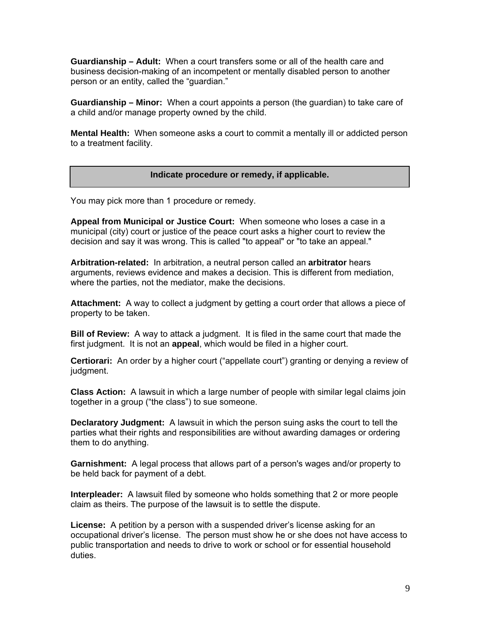**Guardianship – Adult:** When a court transfers some or all of the health care and business decision-making of an incompetent or mentally disabled person to another person or an entity, called the "guardian."

**Guardianship – Minor:** When a court appoints a person (the guardian) to take care of a child and/or manage property owned by the child.

**Mental Health:** When someone asks a court to commit a mentally ill or addicted person to a treatment facility.

#### **Indicate procedure or remedy, if applicable.**

You may pick more than 1 procedure or remedy.

**Appeal from Municipal or Justice Court:** When someone who loses a case in a municipal (city) court or justice of the peace court asks a higher court to review the decision and say it was wrong. This is called "to appeal" or "to take an appeal."

**Arbitration-related:** In arbitration, a neutral person called an **arbitrator** hears arguments, reviews evidence and makes a decision. This is different from mediation, where the parties, not the mediator, make the decisions.

**Attachment:** A way to collect a judgment by getting a court order that allows a piece of property to be taken.

**Bill of Review:** A way to attack a judgment. It is filed in the same court that made the first judgment. It is not an **appeal**, which would be filed in a higher court.

**Certiorari:** An order by a higher court ("appellate court") granting or denying a review of judgment.

**Class Action:** A lawsuit in which a large number of people with similar legal claims join together in a group ("the class") to sue someone.

**Declaratory Judgment:** A lawsuit in which the person suing asks the court to tell the parties what their rights and responsibilities are without awarding damages or ordering them to do anything.

**Garnishment:** A legal process that allows part of a person's wages and/or property to be held back for payment of a debt.

**Interpleader:** A lawsuit filed by someone who holds something that 2 or more people claim as theirs. The purpose of the lawsuit is to settle the dispute.

**License:** A petition by a person with a suspended driver's license asking for an occupational driver's license. The person must show he or she does not have access to public transportation and needs to drive to work or school or for essential household duties.